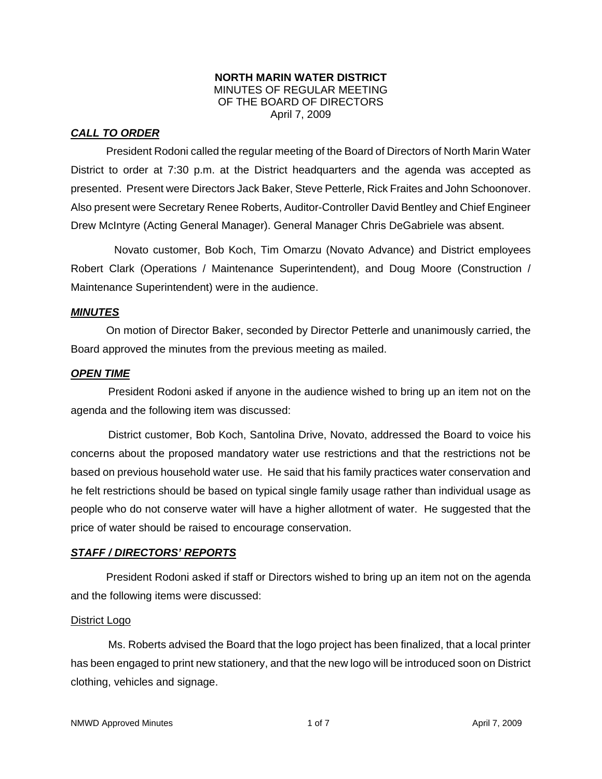#### **NORTH MARIN WATER DISTRICT**  MINUTES OF REGULAR MEETING OF THE BOARD OF DIRECTORS April 7, 2009

## *CALL TO ORDER*

President Rodoni called the regular meeting of the Board of Directors of North Marin Water District to order at 7:30 p.m. at the District headquarters and the agenda was accepted as presented. Present were Directors Jack Baker, Steve Petterle, Rick Fraites and John Schoonover. Also present were Secretary Renee Roberts, Auditor-Controller David Bentley and Chief Engineer Drew McIntyre (Acting General Manager). General Manager Chris DeGabriele was absent.

 Novato customer, Bob Koch, Tim Omarzu (Novato Advance) and District employees Robert Clark (Operations / Maintenance Superintendent), and Doug Moore (Construction / Maintenance Superintendent) were in the audience.

## *MINUTES*

 On motion of Director Baker, seconded by Director Petterle and unanimously carried, the Board approved the minutes from the previous meeting as mailed.

#### *OPEN TIME*

President Rodoni asked if anyone in the audience wished to bring up an item not on the agenda and the following item was discussed:

District customer, Bob Koch, Santolina Drive, Novato, addressed the Board to voice his concerns about the proposed mandatory water use restrictions and that the restrictions not be based on previous household water use. He said that his family practices water conservation and he felt restrictions should be based on typical single family usage rather than individual usage as people who do not conserve water will have a higher allotment of water. He suggested that the price of water should be raised to encourage conservation.

## *STAFF / DIRECTORS' REPORTS*

 President Rodoni asked if staff or Directors wished to bring up an item not on the agenda and the following items were discussed:

#### District Logo

Ms. Roberts advised the Board that the logo project has been finalized, that a local printer has been engaged to print new stationery, and that the new logo will be introduced soon on District clothing, vehicles and signage.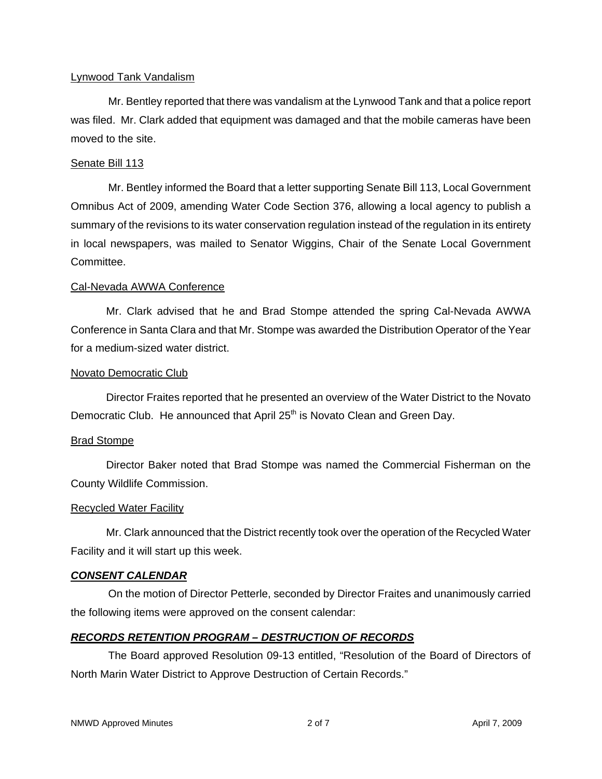#### Lynwood Tank Vandalism

Mr. Bentley reported that there was vandalism at the Lynwood Tank and that a police report was filed. Mr. Clark added that equipment was damaged and that the mobile cameras have been moved to the site.

#### Senate Bill 113

Mr. Bentley informed the Board that a letter supporting Senate Bill 113, Local Government Omnibus Act of 2009, amending Water Code Section 376, allowing a local agency to publish a summary of the revisions to its water conservation regulation instead of the regulation in its entirety in local newspapers, was mailed to Senator Wiggins, Chair of the Senate Local Government Committee.

#### Cal-Nevada AWWA Conference

 Mr. Clark advised that he and Brad Stompe attended the spring Cal-Nevada AWWA Conference in Santa Clara and that Mr. Stompe was awarded the Distribution Operator of the Year for a medium-sized water district.

#### Novato Democratic Club

 Director Fraites reported that he presented an overview of the Water District to the Novato Democratic Club. He announced that April  $25<sup>th</sup>$  is Novato Clean and Green Day.

#### Brad Stompe

 Director Baker noted that Brad Stompe was named the Commercial Fisherman on the County Wildlife Commission.

## Recycled Water Facility

 Mr. Clark announced that the District recently took over the operation of the Recycled Water Facility and it will start up this week.

## *CONSENT CALENDAR*

On the motion of Director Petterle, seconded by Director Fraites and unanimously carried the following items were approved on the consent calendar:

## *RECORDS RETENTION PROGRAM – DESTRUCTION OF RECORDS*

The Board approved Resolution 09-13 entitled, "Resolution of the Board of Directors of North Marin Water District to Approve Destruction of Certain Records."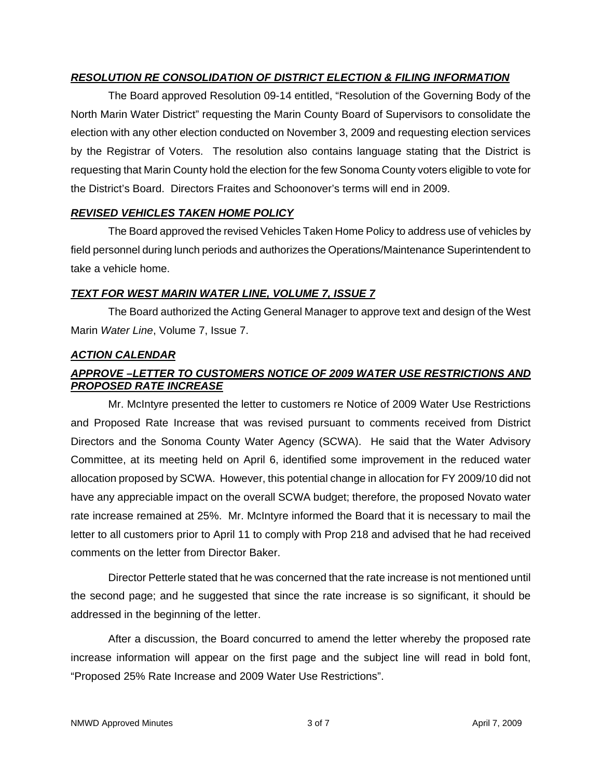# *RESOLUTION RE CONSOLIDATION OF DISTRICT ELECTION & FILING INFORMATION*

The Board approved Resolution 09-14 entitled, "Resolution of the Governing Body of the North Marin Water District" requesting the Marin County Board of Supervisors to consolidate the election with any other election conducted on November 3, 2009 and requesting election services by the Registrar of Voters. The resolution also contains language stating that the District is requesting that Marin County hold the election for the few Sonoma County voters eligible to vote for the District's Board. Directors Fraites and Schoonover's terms will end in 2009.

## *REVISED VEHICLES TAKEN HOME POLICY*

The Board approved the revised Vehicles Taken Home Policy to address use of vehicles by field personnel during lunch periods and authorizes the Operations/Maintenance Superintendent to take a vehicle home.

# *TEXT FOR WEST MARIN WATER LINE, VOLUME 7, ISSUE 7*

The Board authorized the Acting General Manager to approve text and design of the West Marin *Water Line*, Volume 7, Issue 7.

## *ACTION CALENDAR*

# *APPROVE –LETTER TO CUSTOMERS NOTICE OF 2009 WATER USE RESTRICTIONS AND PROPOSED RATE INCREASE*

Mr. McIntyre presented the letter to customers re Notice of 2009 Water Use Restrictions and Proposed Rate Increase that was revised pursuant to comments received from District Directors and the Sonoma County Water Agency (SCWA). He said that the Water Advisory Committee, at its meeting held on April 6, identified some improvement in the reduced water allocation proposed by SCWA. However, this potential change in allocation for FY 2009/10 did not have any appreciable impact on the overall SCWA budget; therefore, the proposed Novato water rate increase remained at 25%. Mr. McIntyre informed the Board that it is necessary to mail the letter to all customers prior to April 11 to comply with Prop 218 and advised that he had received comments on the letter from Director Baker.

Director Petterle stated that he was concerned that the rate increase is not mentioned until the second page; and he suggested that since the rate increase is so significant, it should be addressed in the beginning of the letter.

After a discussion, the Board concurred to amend the letter whereby the proposed rate increase information will appear on the first page and the subject line will read in bold font, "Proposed 25% Rate Increase and 2009 Water Use Restrictions".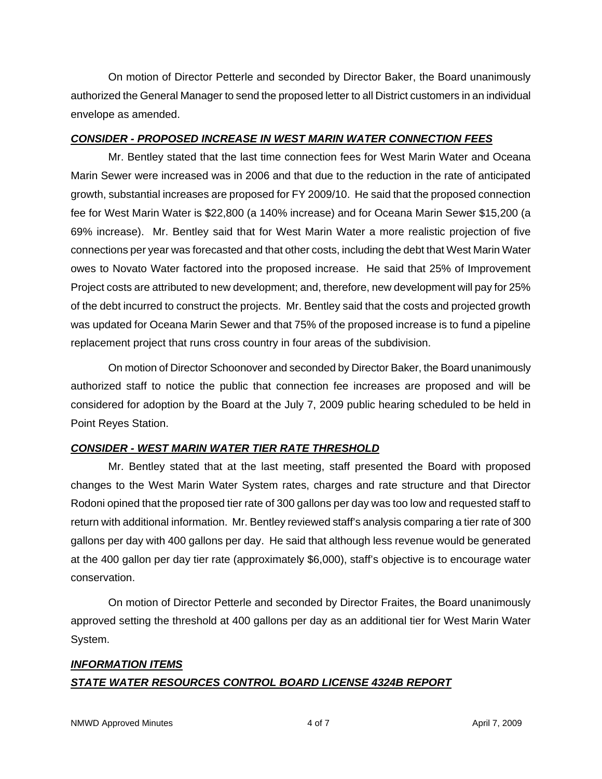On motion of Director Petterle and seconded by Director Baker, the Board unanimously authorized the General Manager to send the proposed letter to all District customers in an individual envelope as amended.

# *CONSIDER - PROPOSED INCREASE IN WEST MARIN WATER CONNECTION FEES*

Mr. Bentley stated that the last time connection fees for West Marin Water and Oceana Marin Sewer were increased was in 2006 and that due to the reduction in the rate of anticipated growth, substantial increases are proposed for FY 2009/10. He said that the proposed connection fee for West Marin Water is \$22,800 (a 140% increase) and for Oceana Marin Sewer \$15,200 (a 69% increase). Mr. Bentley said that for West Marin Water a more realistic projection of five connections per year was forecasted and that other costs, including the debt that West Marin Water owes to Novato Water factored into the proposed increase. He said that 25% of Improvement Project costs are attributed to new development; and, therefore, new development will pay for 25% of the debt incurred to construct the projects. Mr. Bentley said that the costs and projected growth was updated for Oceana Marin Sewer and that 75% of the proposed increase is to fund a pipeline replacement project that runs cross country in four areas of the subdivision.

On motion of Director Schoonover and seconded by Director Baker, the Board unanimously authorized staff to notice the public that connection fee increases are proposed and will be considered for adoption by the Board at the July 7, 2009 public hearing scheduled to be held in Point Reyes Station.

# *CONSIDER - WEST MARIN WATER TIER RATE THRESHOLD*

Mr. Bentley stated that at the last meeting, staff presented the Board with proposed changes to the West Marin Water System rates, charges and rate structure and that Director Rodoni opined that the proposed tier rate of 300 gallons per day was too low and requested staff to return with additional information. Mr. Bentley reviewed staff's analysis comparing a tier rate of 300 gallons per day with 400 gallons per day. He said that although less revenue would be generated at the 400 gallon per day tier rate (approximately \$6,000), staff's objective is to encourage water conservation.

On motion of Director Petterle and seconded by Director Fraites, the Board unanimously approved setting the threshold at 400 gallons per day as an additional tier for West Marin Water System.

# *INFORMATION ITEMS STATE WATER RESOURCES CONTROL BOARD LICENSE 4324B REPORT*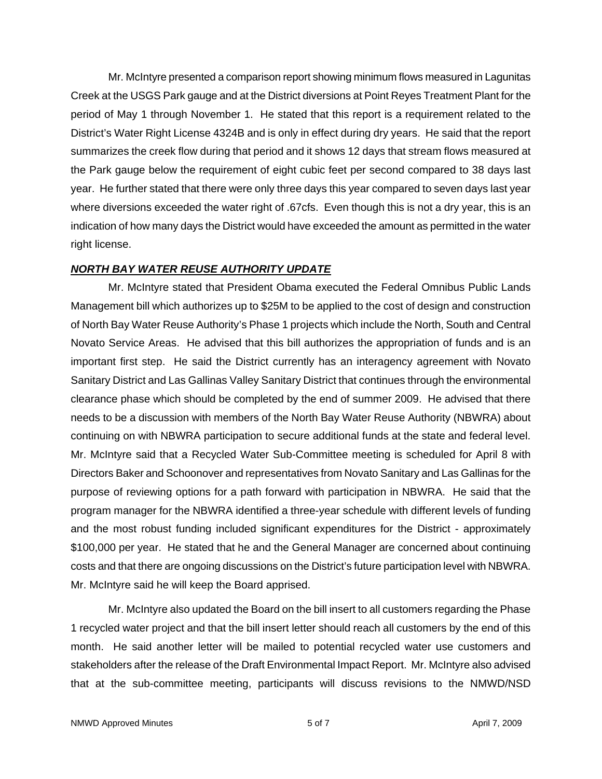Mr. McIntyre presented a comparison report showing minimum flows measured in Lagunitas Creek at the USGS Park gauge and at the District diversions at Point Reyes Treatment Plant for the period of May 1 through November 1. He stated that this report is a requirement related to the District's Water Right License 4324B and is only in effect during dry years. He said that the report summarizes the creek flow during that period and it shows 12 days that stream flows measured at the Park gauge below the requirement of eight cubic feet per second compared to 38 days last year. He further stated that there were only three days this year compared to seven days last year where diversions exceeded the water right of .67cfs. Even though this is not a dry year, this is an indication of how many days the District would have exceeded the amount as permitted in the water right license.

## *NORTH BAY WATER REUSE AUTHORITY UPDATE*

Mr. McIntyre stated that President Obama executed the Federal Omnibus Public Lands Management bill which authorizes up to \$25M to be applied to the cost of design and construction of North Bay Water Reuse Authority's Phase 1 projects which include the North, South and Central Novato Service Areas. He advised that this bill authorizes the appropriation of funds and is an important first step. He said the District currently has an interagency agreement with Novato Sanitary District and Las Gallinas Valley Sanitary District that continues through the environmental clearance phase which should be completed by the end of summer 2009. He advised that there needs to be a discussion with members of the North Bay Water Reuse Authority (NBWRA) about continuing on with NBWRA participation to secure additional funds at the state and federal level. Mr. McIntyre said that a Recycled Water Sub-Committee meeting is scheduled for April 8 with Directors Baker and Schoonover and representatives from Novato Sanitary and Las Gallinas for the purpose of reviewing options for a path forward with participation in NBWRA. He said that the program manager for the NBWRA identified a three-year schedule with different levels of funding and the most robust funding included significant expenditures for the District - approximately \$100,000 per year. He stated that he and the General Manager are concerned about continuing costs and that there are ongoing discussions on the District's future participation level with NBWRA. Mr. McIntyre said he will keep the Board apprised.

Mr. McIntyre also updated the Board on the bill insert to all customers regarding the Phase 1 recycled water project and that the bill insert letter should reach all customers by the end of this month. He said another letter will be mailed to potential recycled water use customers and stakeholders after the release of the Draft Environmental Impact Report. Mr. McIntyre also advised that at the sub-committee meeting, participants will discuss revisions to the NMWD/NSD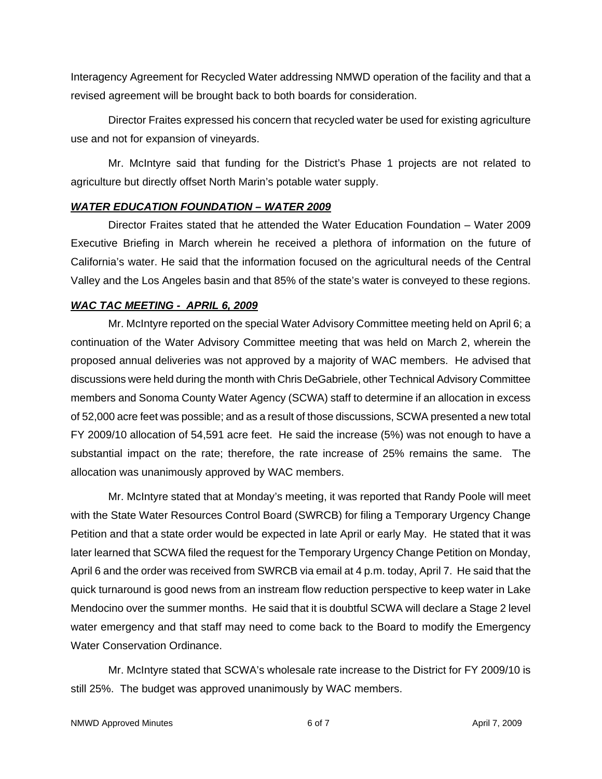Interagency Agreement for Recycled Water addressing NMWD operation of the facility and that a revised agreement will be brought back to both boards for consideration.

Director Fraites expressed his concern that recycled water be used for existing agriculture use and not for expansion of vineyards.

Mr. McIntyre said that funding for the District's Phase 1 projects are not related to agriculture but directly offset North Marin's potable water supply.

## *WATER EDUCATION FOUNDATION – WATER 2009*

Director Fraites stated that he attended the Water Education Foundation – Water 2009 Executive Briefing in March wherein he received a plethora of information on the future of California's water. He said that the information focused on the agricultural needs of the Central Valley and the Los Angeles basin and that 85% of the state's water is conveyed to these regions.

# *WAC TAC MEETING - APRIL 6, 2009*

Mr. McIntyre reported on the special Water Advisory Committee meeting held on April 6; a continuation of the Water Advisory Committee meeting that was held on March 2, wherein the proposed annual deliveries was not approved by a majority of WAC members. He advised that discussions were held during the month with Chris DeGabriele, other Technical Advisory Committee members and Sonoma County Water Agency (SCWA) staff to determine if an allocation in excess of 52,000 acre feet was possible; and as a result of those discussions, SCWA presented a new total FY 2009/10 allocation of 54,591 acre feet. He said the increase (5%) was not enough to have a substantial impact on the rate; therefore, the rate increase of 25% remains the same. The allocation was unanimously approved by WAC members.

Mr. McIntyre stated that at Monday's meeting, it was reported that Randy Poole will meet with the State Water Resources Control Board (SWRCB) for filing a Temporary Urgency Change Petition and that a state order would be expected in late April or early May. He stated that it was later learned that SCWA filed the request for the Temporary Urgency Change Petition on Monday, April 6 and the order was received from SWRCB via email at 4 p.m. today, April 7. He said that the quick turnaround is good news from an instream flow reduction perspective to keep water in Lake Mendocino over the summer months. He said that it is doubtful SCWA will declare a Stage 2 level water emergency and that staff may need to come back to the Board to modify the Emergency Water Conservation Ordinance.

Mr. McIntyre stated that SCWA's wholesale rate increase to the District for FY 2009/10 is still 25%. The budget was approved unanimously by WAC members.